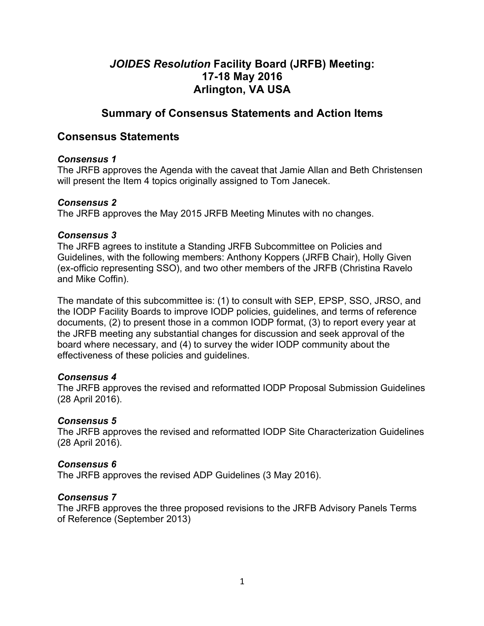# *JOIDES Resolution* **Facility Board (JRFB) Meeting: 17-18 May 2016 Arlington, VA USA**

# **Summary of Consensus Statements and Action Items**

# **Consensus Statements**

#### *Consensus 1*

The JRFB approves the Agenda with the caveat that Jamie Allan and Beth Christensen will present the Item 4 topics originally assigned to Tom Janecek.

#### *Consensus 2*

The JRFB approves the May 2015 JRFB Meeting Minutes with no changes.

#### *Consensus 3*

The JRFB agrees to institute a Standing JRFB Subcommittee on Policies and Guidelines, with the following members: Anthony Koppers (JRFB Chair), Holly Given (ex-officio representing SSO), and two other members of the JRFB (Christina Ravelo and Mike Coffin).

The mandate of this subcommittee is: (1) to consult with SEP, EPSP, SSO, JRSO, and the IODP Facility Boards to improve IODP policies, guidelines, and terms of reference documents, (2) to present those in a common IODP format, (3) to report every year at the JRFB meeting any substantial changes for discussion and seek approval of the board where necessary, and (4) to survey the wider IODP community about the effectiveness of these policies and guidelines.

#### *Consensus 4*

The JRFB approves the revised and reformatted IODP Proposal Submission Guidelines (28 April 2016).

#### *Consensus 5*

The JRFB approves the revised and reformatted IODP Site Characterization Guidelines (28 April 2016).

#### *Consensus 6*

The JRFB approves the revised ADP Guidelines (3 May 2016).

#### *Consensus 7*

The JRFB approves the three proposed revisions to the JRFB Advisory Panels Terms of Reference (September 2013)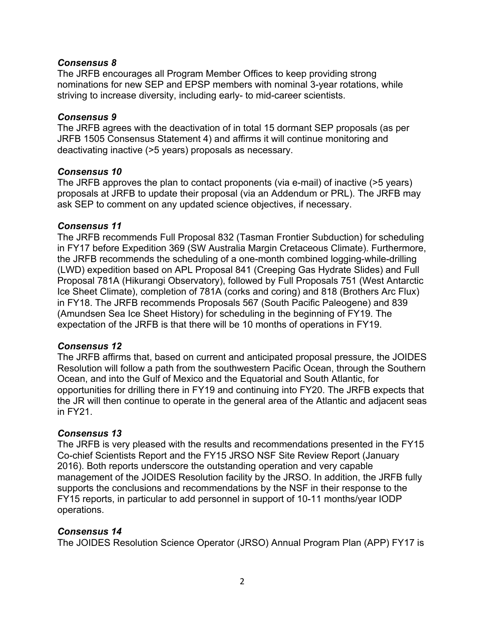#### *Consensus 8*

The JRFB encourages all Program Member Offices to keep providing strong nominations for new SEP and EPSP members with nominal 3-year rotations, while striving to increase diversity, including early- to mid-career scientists.

#### *Consensus 9*

The JRFB agrees with the deactivation of in total 15 dormant SEP proposals (as per JRFB 1505 Consensus Statement 4) and affirms it will continue monitoring and deactivating inactive (>5 years) proposals as necessary.

#### *Consensus 10*

The JRFB approves the plan to contact proponents (via e-mail) of inactive (>5 years) proposals at JRFB to update their proposal (via an Addendum or PRL). The JRFB may ask SEP to comment on any updated science objectives, if necessary.

#### *Consensus 11*

The JRFB recommends Full Proposal 832 (Tasman Frontier Subduction) for scheduling in FY17 before Expedition 369 (SW Australia Margin Cretaceous Climate). Furthermore, the JRFB recommends the scheduling of a one-month combined logging-while-drilling (LWD) expedition based on APL Proposal 841 (Creeping Gas Hydrate Slides) and Full Proposal 781A (Hikurangi Observatory), followed by Full Proposals 751 (West Antarctic Ice Sheet Climate), completion of 781A (corks and coring) and 818 (Brothers Arc Flux) in FY18. The JRFB recommends Proposals 567 (South Pacific Paleogene) and 839 (Amundsen Sea Ice Sheet History) for scheduling in the beginning of FY19. The expectation of the JRFB is that there will be 10 months of operations in FY19.

#### *Consensus 12*

The JRFB affirms that, based on current and anticipated proposal pressure, the JOIDES Resolution will follow a path from the southwestern Pacific Ocean, through the Southern Ocean, and into the Gulf of Mexico and the Equatorial and South Atlantic, for opportunities for drilling there in FY19 and continuing into FY20. The JRFB expects that the JR will then continue to operate in the general area of the Atlantic and adjacent seas in FY21.

#### *Consensus 13*

The JRFB is very pleased with the results and recommendations presented in the FY15 Co-chief Scientists Report and the FY15 JRSO NSF Site Review Report (January 2016). Both reports underscore the outstanding operation and very capable management of the JOIDES Resolution facility by the JRSO. In addition, the JRFB fully supports the conclusions and recommendations by the NSF in their response to the FY15 reports, in particular to add personnel in support of 10-11 months/year IODP operations.

#### *Consensus 14*

The JOIDES Resolution Science Operator (JRSO) Annual Program Plan (APP) FY17 is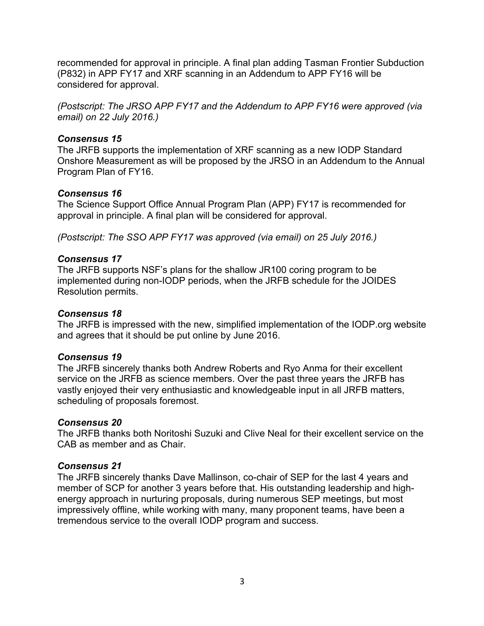recommended for approval in principle. A final plan adding Tasman Frontier Subduction (P832) in APP FY17 and XRF scanning in an Addendum to APP FY16 will be considered for approval.

*(Postscript: The JRSO APP FY17 and the Addendum to APP FY16 were approved (via email) on 22 July 2016.)*

#### *Consensus 15*

The JRFB supports the implementation of XRF scanning as a new IODP Standard Onshore Measurement as will be proposed by the JRSO in an Addendum to the Annual Program Plan of FY16.

#### *Consensus 16*

The Science Support Office Annual Program Plan (APP) FY17 is recommended for approval in principle. A final plan will be considered for approval.

*(Postscript: The SSO APP FY17 was approved (via email) on 25 July 2016.)*

#### *Consensus 17*

The JRFB supports NSF's plans for the shallow JR100 coring program to be implemented during non-IODP periods, when the JRFB schedule for the JOIDES Resolution permits.

#### *Consensus 18*

The JRFB is impressed with the new, simplified implementation of the IODP.org website and agrees that it should be put online by June 2016.

#### *Consensus 19*

The JRFB sincerely thanks both Andrew Roberts and Ryo Anma for their excellent service on the JRFB as science members. Over the past three years the JRFB has vastly enjoyed their very enthusiastic and knowledgeable input in all JRFB matters, scheduling of proposals foremost.

#### *Consensus 20*

The JRFB thanks both Noritoshi Suzuki and Clive Neal for their excellent service on the CAB as member and as Chair.

#### *Consensus 21*

The JRFB sincerely thanks Dave Mallinson, co-chair of SEP for the last 4 years and member of SCP for another 3 years before that. His outstanding leadership and highenergy approach in nurturing proposals, during numerous SEP meetings, but most impressively offline, while working with many, many proponent teams, have been a tremendous service to the overall IODP program and success.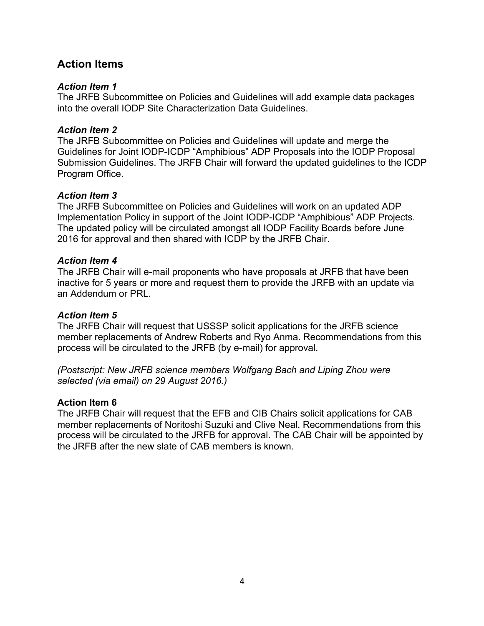# **Action Items**

#### *Action Item 1*

The JRFB Subcommittee on Policies and Guidelines will add example data packages into the overall IODP Site Characterization Data Guidelines.

#### *Action Item 2*

The JRFB Subcommittee on Policies and Guidelines will update and merge the Guidelines for Joint IODP-ICDP "Amphibious" ADP Proposals into the IODP Proposal Submission Guidelines. The JRFB Chair will forward the updated guidelines to the ICDP Program Office.

#### *Action Item 3*

The JRFB Subcommittee on Policies and Guidelines will work on an updated ADP Implementation Policy in support of the Joint IODP-ICDP "Amphibious" ADP Projects. The updated policy will be circulated amongst all IODP Facility Boards before June 2016 for approval and then shared with ICDP by the JRFB Chair.

#### *Action Item 4*

The JRFB Chair will e-mail proponents who have proposals at JRFB that have been inactive for 5 years or more and request them to provide the JRFB with an update via an Addendum or PRL.

#### *Action Item 5*

The JRFB Chair will request that USSSP solicit applications for the JRFB science member replacements of Andrew Roberts and Ryo Anma. Recommendations from this process will be circulated to the JRFB (by e-mail) for approval.

*(Postscript: New JRFB science members Wolfgang Bach and Liping Zhou were selected (via email) on 29 August 2016.)*

#### **Action Item 6**

The JRFB Chair will request that the EFB and CIB Chairs solicit applications for CAB member replacements of Noritoshi Suzuki and Clive Neal. Recommendations from this process will be circulated to the JRFB for approval. The CAB Chair will be appointed by the JRFB after the new slate of CAB members is known.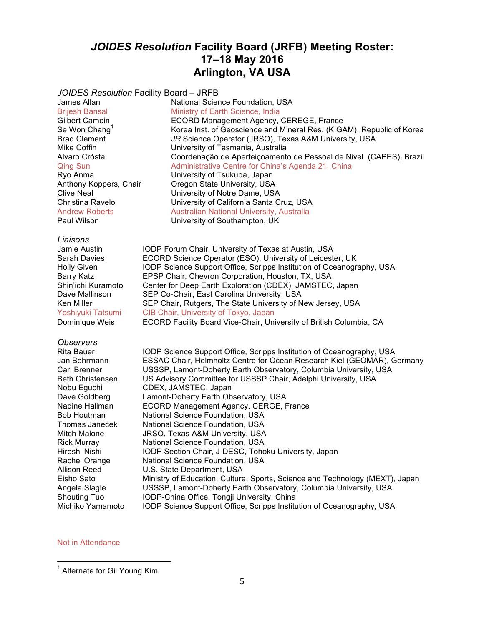# *JOIDES Resolution* **Facility Board (JRFB) Meeting Roster: 17–18 May 2016 Arlington, VA USA**

*JOIDES Resolution* Facility Board – JRFB

Paul Wilson **University of Southampton, UK** 

*Liaisons*

#### *Observers*

Rita Bauer **IODP** Science Support Office, Scripps Institution of Oceanography, USA Jan Behrmann FSSAC Chair, Helmholtz Centre for Ocean Research Kiel (GEOMAR), Germany<br>Carl Brenner Funds Sentemont-Doherty Earth Observatory, Columbia University, USA USSSP, Lamont-Doherty Earth Observatory, Columbia University, USA Beth Christensen US Advisory Committee for USSSP Chair, Adelphi University, USA Nobu Eguchi CDEX, JAMSTEC, Japan<br>Dave Goldberg Lamont-Doherty Earth Ob Lamont-Doherty Earth Observatory, USA Nadine Hallman ECORD Management Agency, CERGE, France Bob Houtman National Science Foundation, USA Thomas Janecek National Science Foundation, USA Mitch Malone JRSO, Texas A&M University, USA Rick Murray National Science Foundation, USA IODP Section Chair, J-DESC, Tohoku University, Japan Rachel Orange National Science Foundation, USA Allison Reed U.S. State Department, USA<br>Eisho Sato Ministry of Education, Culture Ministry of Education, Culture, Sports, Science and Technology (MEXT), Japan Angela Slagle USSSP, Lamont-Doherty Earth Observatory, Columbia University, USA Shouting Tuo **IODP-China Office, Tongji University, China**<br>Michiko Yamamoto IODP Science Support Office, Scripps Institu IODP Science Support Office, Scripps Institution of Oceanography, USA

#### Not in Attendance

James Allan National Science Foundation, USA Brijesh Bansal Ministry of Earth Science, India Gilbert Camoin **ECORD Management Agency, CEREGE, France**<br>Se Won Chang<sup>1</sup> Korea Inst. of Geoscience and Mineral Res. (KIG) Se Won Chang<sup>1</sup> Korea Inst. of Geoscience and Mineral Res. (KIGAM), Republic of Korea<br>Brad Clement *JR Science Operator (JRSO)*, Texas A&M University, USA JR Science Operator (JRSO), Texas A&M University, USA Mike Coffin University of Tasmania, Australia Alvaro Crósta Coordenação de Aperfeiçoamento de Pessoal de Nivel (CAPES), Brazil<br>Qing Sun Contentive Centre for China's Agenda 21, China Administrative Centre for China's Agenda 21, China Ryo Anma **Calculfic Contains University of Tsukuba, Japan**<br>
Anthony Koppers, Chair **Changer Company Contains University, USA** Oregon State University, USA Clive Neal University of Notre Dame, USA Christina Ravelo University of California Santa Cruz, USA Andrew Roberts **Australian National University, Australia** 

Jamie Austin IODP Forum Chair, University of Texas at Austin, USA Sarah Davies ECORD Science Operator (ESO), University of Leicester, UK Holly Given **IODP** Science Support Office, Scripps Institution of Oceanography, USA Barry Katz **EPSP Chair, Chevron Corporation, Houston, TX, USA** Shin'ichi Kuramoto Center for Deep Earth Exploration (CDEX), JAMSTEC, Japan Dave Mallinson SEP Co-Chair, East Carolina University, USA Ken Miller SEP Chair, Rutgers, The State University of New Jersey, USA Yoshiyuki Tatsumi CIB Chair, University of Tokyo, Japan Dominique Weis ECORD Facility Board Vice-Chair, University of British Columbia, CA

<sup>&</sup>lt;sup>1</sup> Alternate for Gil Young Kim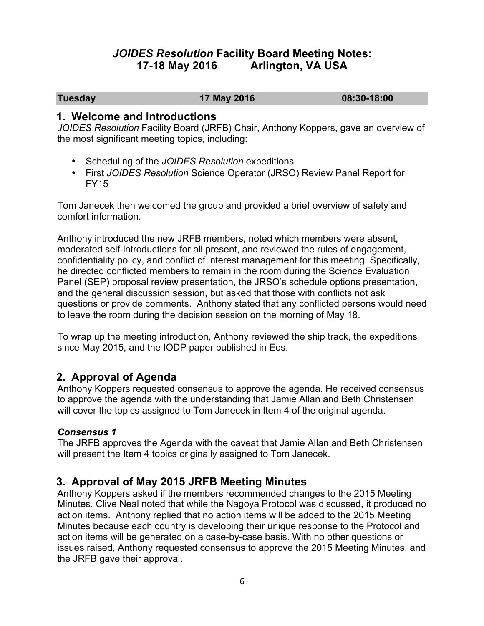# *JOIDES Resolution* **Facility Board Meeting Notes: 17-18 May 2016 Arlington, VA USA**

**Tuesday 17 May 2016 08:30-18:00**

#### **1. Welcome and Introductions**

*JOIDES Resolution* Facility Board (JRFB) Chair, Anthony Koppers, gave an overview of the most significant meeting topics, including:

- Scheduling of the *JOIDES Resolution* expeditions
- First *JOIDES Resolution* Science Operator (JRSO) Review Panel Report for FY15

Tom Janecek then welcomed the group and provided a brief overview of safety and comfort information.

Anthony introduced the new JRFB members, noted which members were absent, moderated self-introductions for all present, and reviewed the rules of engagement, confidentiality policy, and conflict of interest management for this meeting. Specifically, he directed conflicted members to remain in the room during the Science Evaluation Panel (SEP) proposal review presentation, the JRSO's schedule options presentation, and the general discussion session, but asked that those with conflicts not ask questions or provide comments. Anthony stated that any conflicted persons would need to leave the room during the decision session on the morning of May 18.

To wrap up the meeting introduction, Anthony reviewed the ship track, the expeditions since May 2015, and the IODP paper published in Eos.

# **2. Approval of Agenda**

Anthony Koppers requested consensus to approve the agenda. He received consensus to approve the agenda with the understanding that Jamie Allan and Beth Christensen will cover the topics assigned to Tom Janecek in Item 4 of the original agenda.

#### *Consensus 1*

The JRFB approves the Agenda with the caveat that Jamie Allan and Beth Christensen will present the Item 4 topics originally assigned to Tom Janecek.

# **3. Approval of May 2015 JRFB Meeting Minutes**

Anthony Koppers asked if the members recommended changes to the 2015 Meeting Minutes. Clive Neal noted that while the Nagoya Protocol was discussed, it produced no action items. Anthony replied that no action items will be added to the 2015 Meeting Minutes because each country is developing their unique response to the Protocol and action items will be generated on a case-by-case basis. With no other questions or issues raised, Anthony requested consensus to approve the 2015 Meeting Minutes, and the JRFB gave their approval.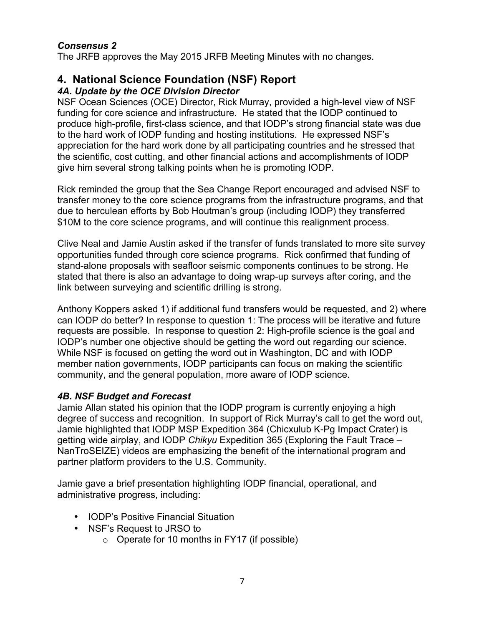#### *Consensus 2*

The JRFB approves the May 2015 JRFB Meeting Minutes with no changes.

# **4. National Science Foundation (NSF) Report**

#### *4A. Update by the OCE Division Director*

NSF Ocean Sciences (OCE) Director, Rick Murray, provided a high-level view of NSF funding for core science and infrastructure. He stated that the IODP continued to produce high-profile, first-class science, and that IODP's strong financial state was due to the hard work of IODP funding and hosting institutions. He expressed NSF's appreciation for the hard work done by all participating countries and he stressed that the scientific, cost cutting, and other financial actions and accomplishments of IODP give him several strong talking points when he is promoting IODP.

Rick reminded the group that the Sea Change Report encouraged and advised NSF to transfer money to the core science programs from the infrastructure programs, and that due to herculean efforts by Bob Houtman's group (including IODP) they transferred \$10M to the core science programs, and will continue this realignment process.

Clive Neal and Jamie Austin asked if the transfer of funds translated to more site survey opportunities funded through core science programs. Rick confirmed that funding of stand-alone proposals with seafloor seismic components continues to be strong. He stated that there is also an advantage to doing wrap-up surveys after coring, and the link between surveying and scientific drilling is strong.

Anthony Koppers asked 1) if additional fund transfers would be requested, and 2) where can IODP do better? In response to question 1: The process will be iterative and future requests are possible. In response to question 2: High-profile science is the goal and IODP's number one objective should be getting the word out regarding our science. While NSF is focused on getting the word out in Washington, DC and with IODP member nation governments, IODP participants can focus on making the scientific community, and the general population, more aware of IODP science.

#### *4B. NSF Budget and Forecast*

Jamie Allan stated his opinion that the IODP program is currently enjoying a high degree of success and recognition. In support of Rick Murray's call to get the word out, Jamie highlighted that IODP MSP Expedition 364 (Chicxulub K-Pg Impact Crater) is getting wide airplay, and IODP *Chikyu* Expedition 365 (Exploring the Fault Trace – NanTroSEIZE) videos are emphasizing the benefit of the international program and partner platform providers to the U.S. Community.

Jamie gave a brief presentation highlighting IODP financial, operational, and administrative progress, including:

- IODP's Positive Financial Situation
- NSF's Request to JRSO to
	- $\circ$  Operate for 10 months in FY17 (if possible)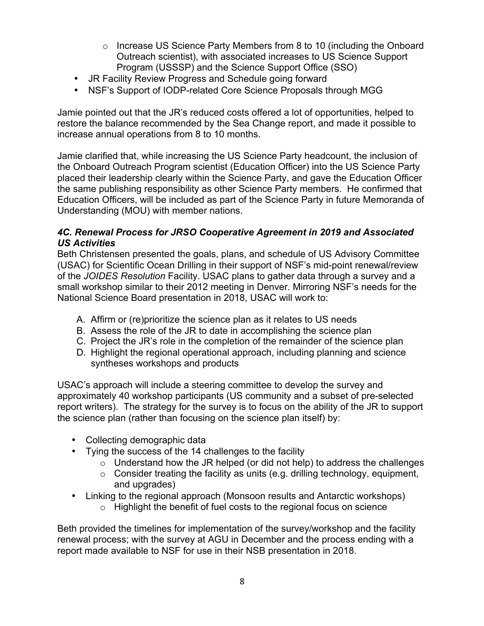- $\circ$  Increase US Science Party Members from 8 to 10 (including the Onboard Outreach scientist), with associated increases to US Science Support Program (USSSP) and the Science Support Office (SSO)
- JR Facility Review Progress and Schedule going forward
- NSF's Support of IODP-related Core Science Proposals through MGG

Jamie pointed out that the JR's reduced costs offered a lot of opportunities, helped to restore the balance recommended by the Sea Change report, and made it possible to increase annual operations from 8 to 10 months.

Jamie clarified that, while increasing the US Science Party headcount, the inclusion of the Onboard Outreach Program scientist (Education Officer) into the US Science Party placed their leadership clearly within the Science Party, and gave the Education Officer the same publishing responsibility as other Science Party members. He confirmed that Education Officers, will be included as part of the Science Party in future Memoranda of Understanding (MOU) with member nations.

#### *4C. Renewal Process for JRSO Cooperative Agreement in 2019 and Associated US Activities*

Beth Christensen presented the goals, plans, and schedule of US Advisory Committee (USAC) for Scientific Ocean Drilling in their support of NSF's mid-point renewal/review of the *JOIDES Resolution* Facility. USAC plans to gather data through a survey and a small workshop similar to their 2012 meeting in Denver. Mirroring NSF's needs for the National Science Board presentation in 2018, USAC will work to:

- A. Affirm or (re)prioritize the science plan as it relates to US needs
- B. Assess the role of the JR to date in accomplishing the science plan
- C. Project the JR's role in the completion of the remainder of the science plan
- D. Highlight the regional operational approach, including planning and science syntheses workshops and products

USAC's approach will include a steering committee to develop the survey and approximately 40 workshop participants (US community and a subset of pre-selected report writers). The strategy for the survey is to focus on the ability of the JR to support the science plan (rather than focusing on the science plan itself) by:

- Collecting demographic data
- Tying the success of the 14 challenges to the facility
	- $\circ$  Understand how the JR helped (or did not help) to address the challenges
	- $\circ$  Consider treating the facility as units (e.g. drilling technology, equipment, and upgrades)
- Linking to the regional approach (Monsoon results and Antarctic workshops)
	- $\circ$  Highlight the benefit of fuel costs to the regional focus on science

Beth provided the timelines for implementation of the survey/workshop and the facility renewal process; with the survey at AGU in December and the process ending with a report made available to NSF for use in their NSB presentation in 2018.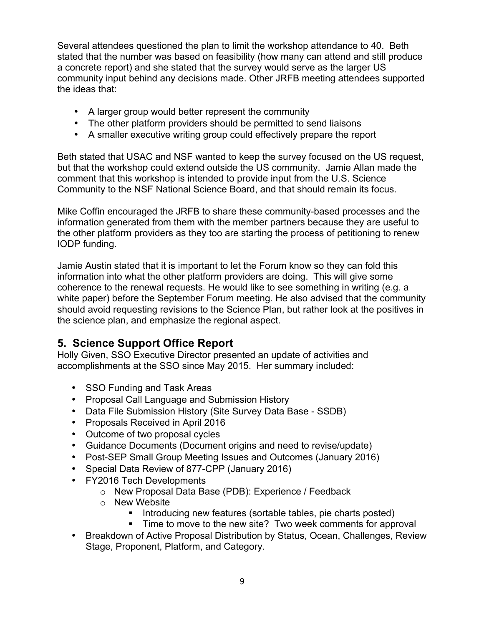Several attendees questioned the plan to limit the workshop attendance to 40. Beth stated that the number was based on feasibility (how many can attend and still produce a concrete report) and she stated that the survey would serve as the larger US community input behind any decisions made. Other JRFB meeting attendees supported the ideas that:

- A larger group would better represent the community
- The other platform providers should be permitted to send liaisons
- A smaller executive writing group could effectively prepare the report

Beth stated that USAC and NSF wanted to keep the survey focused on the US request, but that the workshop could extend outside the US community. Jamie Allan made the comment that this workshop is intended to provide input from the U.S. Science Community to the NSF National Science Board, and that should remain its focus.

Mike Coffin encouraged the JRFB to share these community-based processes and the information generated from them with the member partners because they are useful to the other platform providers as they too are starting the process of petitioning to renew IODP funding.

Jamie Austin stated that it is important to let the Forum know so they can fold this information into what the other platform providers are doing. This will give some coherence to the renewal requests. He would like to see something in writing (e.g. a white paper) before the September Forum meeting. He also advised that the community should avoid requesting revisions to the Science Plan, but rather look at the positives in the science plan, and emphasize the regional aspect.

# **5. Science Support Office Report**

Holly Given, SSO Executive Director presented an update of activities and accomplishments at the SSO since May 2015. Her summary included:

- SSO Funding and Task Areas
- Proposal Call Language and Submission History
- Data File Submission History (Site Survey Data Base SSDB)
- Proposals Received in April 2016
- Outcome of two proposal cycles
- Guidance Documents (Document origins and need to revise/update)
- Post-SEP Small Group Meeting Issues and Outcomes (January 2016)
- Special Data Review of 877-CPP (January 2016)
- FY2016 Tech Developments
	- o New Proposal Data Base (PDB): Experience / Feedback
	- o New Website
		- Introducing new features (sortable tables, pie charts posted)
		- Time to move to the new site? Two week comments for approval
- Breakdown of Active Proposal Distribution by Status, Ocean, Challenges, Review Stage, Proponent, Platform, and Category.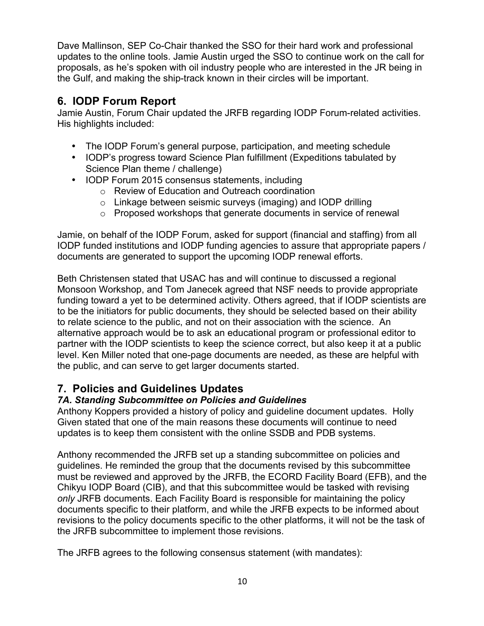Dave Mallinson, SEP Co-Chair thanked the SSO for their hard work and professional updates to the online tools. Jamie Austin urged the SSO to continue work on the call for proposals, as he's spoken with oil industry people who are interested in the JR being in the Gulf, and making the ship-track known in their circles will be important.

# **6. IODP Forum Report**

Jamie Austin, Forum Chair updated the JRFB regarding IODP Forum-related activities. His highlights included:

- The IODP Forum's general purpose, participation, and meeting schedule
- IODP's progress toward Science Plan fulfillment (Expeditions tabulated by Science Plan theme / challenge)
- IODP Forum 2015 consensus statements, including
	- o Review of Education and Outreach coordination
	- o Linkage between seismic surveys (imaging) and IODP drilling
	- o Proposed workshops that generate documents in service of renewal

Jamie, on behalf of the IODP Forum, asked for support (financial and staffing) from all IODP funded institutions and IODP funding agencies to assure that appropriate papers / documents are generated to support the upcoming IODP renewal efforts.

Beth Christensen stated that USAC has and will continue to discussed a regional Monsoon Workshop, and Tom Janecek agreed that NSF needs to provide appropriate funding toward a yet to be determined activity. Others agreed, that if IODP scientists are to be the initiators for public documents, they should be selected based on their ability to relate science to the public, and not on their association with the science. An alternative approach would be to ask an educational program or professional editor to partner with the IODP scientists to keep the science correct, but also keep it at a public level. Ken Miller noted that one-page documents are needed, as these are helpful with the public, and can serve to get larger documents started.

# **7. Policies and Guidelines Updates**

## *7A. Standing Subcommittee on Policies and Guidelines*

Anthony Koppers provided a history of policy and guideline document updates. Holly Given stated that one of the main reasons these documents will continue to need updates is to keep them consistent with the online SSDB and PDB systems.

Anthony recommended the JRFB set up a standing subcommittee on policies and guidelines. He reminded the group that the documents revised by this subcommittee must be reviewed and approved by the JRFB, the ECORD Facility Board (EFB), and the Chikyu IODP Board (CIB), and that this subcommittee would be tasked with revising *only* JRFB documents. Each Facility Board is responsible for maintaining the policy documents specific to their platform, and while the JRFB expects to be informed about revisions to the policy documents specific to the other platforms, it will not be the task of the JRFB subcommittee to implement those revisions.

The JRFB agrees to the following consensus statement (with mandates):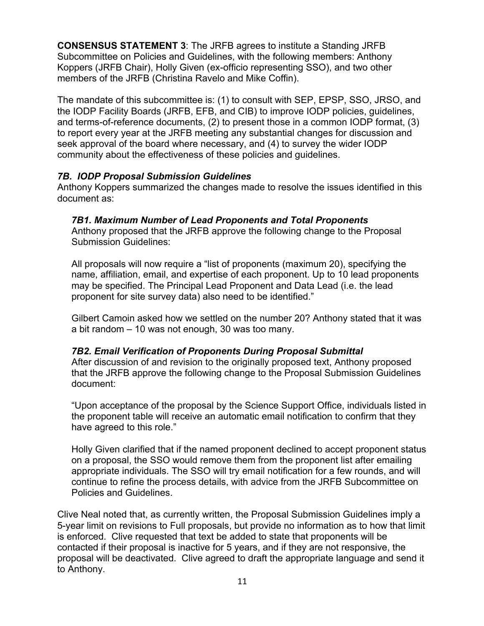**CONSENSUS STATEMENT 3**: The JRFB agrees to institute a Standing JRFB Subcommittee on Policies and Guidelines, with the following members: Anthony Koppers (JRFB Chair), Holly Given (ex-officio representing SSO), and two other members of the JRFB (Christina Ravelo and Mike Coffin).

The mandate of this subcommittee is: (1) to consult with SEP, EPSP, SSO, JRSO, and the IODP Facility Boards (JRFB, EFB, and CIB) to improve IODP policies, guidelines, and terms-of-reference documents, (2) to present those in a common IODP format, (3) to report every year at the JRFB meeting any substantial changes for discussion and seek approval of the board where necessary, and (4) to survey the wider IODP community about the effectiveness of these policies and guidelines.

#### *7B. IODP Proposal Submission Guidelines*

Anthony Koppers summarized the changes made to resolve the issues identified in this document as:

#### *7B1. Maximum Number of Lead Proponents and Total Proponents*

Anthony proposed that the JRFB approve the following change to the Proposal Submission Guidelines:

All proposals will now require a "list of proponents (maximum 20), specifying the name, affiliation, email, and expertise of each proponent. Up to 10 lead proponents may be specified. The Principal Lead Proponent and Data Lead (i.e. the lead proponent for site survey data) also need to be identified."

Gilbert Camoin asked how we settled on the number 20? Anthony stated that it was a bit random – 10 was not enough, 30 was too many.

#### *7B2. Email Verification of Proponents During Proposal Submittal*

After discussion of and revision to the originally proposed text, Anthony proposed that the JRFB approve the following change to the Proposal Submission Guidelines document:

"Upon acceptance of the proposal by the Science Support Office, individuals listed in the proponent table will receive an automatic email notification to confirm that they have agreed to this role."

Holly Given clarified that if the named proponent declined to accept proponent status on a proposal, the SSO would remove them from the proponent list after emailing appropriate individuals. The SSO will try email notification for a few rounds, and will continue to refine the process details, with advice from the JRFB Subcommittee on Policies and Guidelines.

Clive Neal noted that, as currently written, the Proposal Submission Guidelines imply a 5-year limit on revisions to Full proposals, but provide no information as to how that limit is enforced. Clive requested that text be added to state that proponents will be contacted if their proposal is inactive for 5 years, and if they are not responsive, the proposal will be deactivated. Clive agreed to draft the appropriate language and send it to Anthony.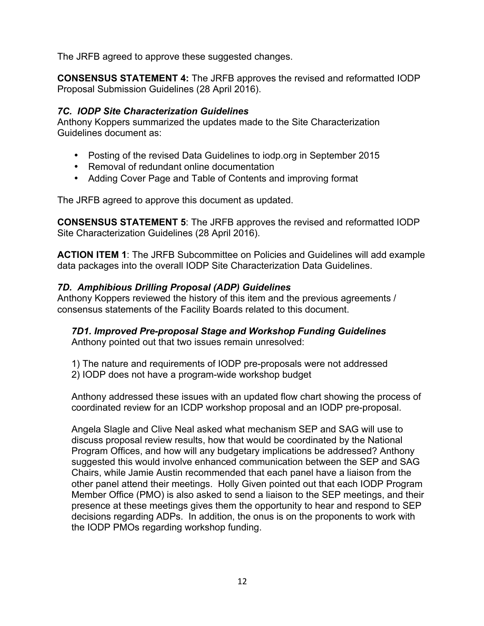The JRFB agreed to approve these suggested changes.

**CONSENSUS STATEMENT 4:** The JRFB approves the revised and reformatted IODP Proposal Submission Guidelines (28 April 2016).

#### *7C. IODP Site Characterization Guidelines*

Anthony Koppers summarized the updates made to the Site Characterization Guidelines document as:

- Posting of the revised Data Guidelines to iodp.org in September 2015
- Removal of redundant online documentation
- Adding Cover Page and Table of Contents and improving format

The JRFB agreed to approve this document as updated.

**CONSENSUS STATEMENT 5**: The JRFB approves the revised and reformatted IODP Site Characterization Guidelines (28 April 2016).

**ACTION ITEM 1**: The JRFB Subcommittee on Policies and Guidelines will add example data packages into the overall IODP Site Characterization Data Guidelines.

#### *7D. Amphibious Drilling Proposal (ADP) Guidelines*

Anthony Koppers reviewed the history of this item and the previous agreements / consensus statements of the Facility Boards related to this document.

# *7D1. Improved Pre-proposal Stage and Workshop Funding Guidelines*

Anthony pointed out that two issues remain unresolved:

- 1) The nature and requirements of IODP pre-proposals were not addressed
- 2) IODP does not have a program-wide workshop budget

Anthony addressed these issues with an updated flow chart showing the process of coordinated review for an ICDP workshop proposal and an IODP pre-proposal.

Angela Slagle and Clive Neal asked what mechanism SEP and SAG will use to discuss proposal review results, how that would be coordinated by the National Program Offices, and how will any budgetary implications be addressed? Anthony suggested this would involve enhanced communication between the SEP and SAG Chairs, while Jamie Austin recommended that each panel have a liaison from the other panel attend their meetings. Holly Given pointed out that each IODP Program Member Office (PMO) is also asked to send a liaison to the SEP meetings, and their presence at these meetings gives them the opportunity to hear and respond to SEP decisions regarding ADPs. In addition, the onus is on the proponents to work with the IODP PMOs regarding workshop funding.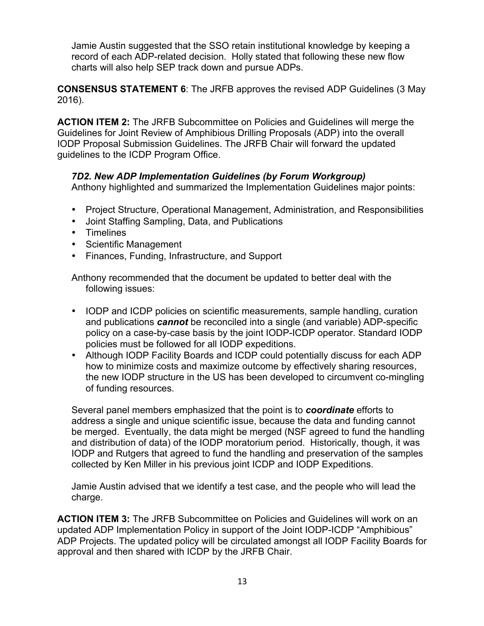Jamie Austin suggested that the SSO retain institutional knowledge by keeping a record of each ADP-related decision. Holly stated that following these new flow charts will also help SEP track down and pursue ADPs.

**CONSENSUS STATEMENT 6**: The JRFB approves the revised ADP Guidelines (3 May 2016).

**ACTION ITEM 2:** The JRFB Subcommittee on Policies and Guidelines will merge the Guidelines for Joint Review of Amphibious Drilling Proposals (ADP) into the overall IODP Proposal Submission Guidelines. The JRFB Chair will forward the updated guidelines to the ICDP Program Office.

#### *7D2. New ADP Implementation Guidelines (by Forum Workgroup)*

Anthony highlighted and summarized the Implementation Guidelines major points:

- Project Structure, Operational Management, Administration, and Responsibilities
- Joint Staffing Sampling, Data, and Publications
- Timelines
- Scientific Management
- Finances, Funding, Infrastructure, and Support

Anthony recommended that the document be updated to better deal with the following issues:

- IODP and ICDP policies on scientific measurements, sample handling, curation and publications *cannot* be reconciled into a single (and variable) ADP-specific policy on a case-by-case basis by the joint IODP-ICDP operator. Standard IODP policies must be followed for all IODP expeditions.
- Although IODP Facility Boards and ICDP could potentially discuss for each ADP how to minimize costs and maximize outcome by effectively sharing resources, the new IODP structure in the US has been developed to circumvent co-mingling of funding resources.

Several panel members emphasized that the point is to *coordinate* efforts to address a single and unique scientific issue, because the data and funding cannot be merged. Eventually, the data might be merged (NSF agreed to fund the handling and distribution of data) of the IODP moratorium period. Historically, though, it was IODP and Rutgers that agreed to fund the handling and preservation of the samples collected by Ken Miller in his previous joint ICDP and IODP Expeditions.

Jamie Austin advised that we identify a test case, and the people who will lead the charge.

**ACTION ITEM 3:** The JRFB Subcommittee on Policies and Guidelines will work on an updated ADP Implementation Policy in support of the Joint IODP-ICDP "Amphibious" ADP Projects. The updated policy will be circulated amongst all IODP Facility Boards for approval and then shared with ICDP by the JRFB Chair.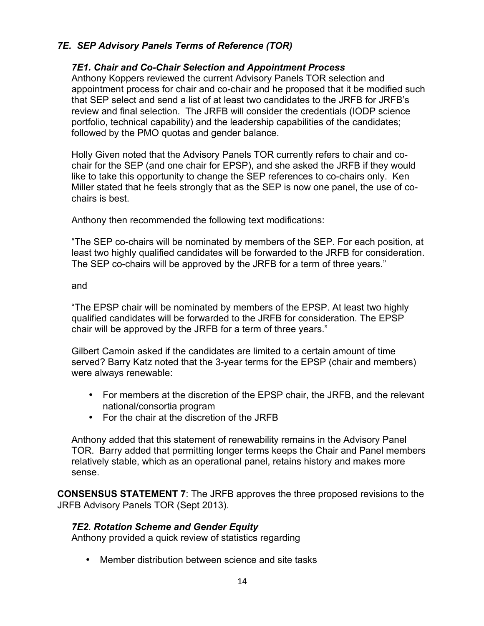#### *7E. SEP Advisory Panels Terms of Reference (TOR)*

#### *7E1. Chair and Co-Chair Selection and Appointment Process*

Anthony Koppers reviewed the current Advisory Panels TOR selection and appointment process for chair and co-chair and he proposed that it be modified such that SEP select and send a list of at least two candidates to the JRFB for JRFB's review and final selection. The JRFB will consider the credentials (IODP science portfolio, technical capability) and the leadership capabilities of the candidates; followed by the PMO quotas and gender balance.

Holly Given noted that the Advisory Panels TOR currently refers to chair and cochair for the SEP (and one chair for EPSP), and she asked the JRFB if they would like to take this opportunity to change the SEP references to co-chairs only. Ken Miller stated that he feels strongly that as the SEP is now one panel, the use of cochairs is best.

Anthony then recommended the following text modifications:

"The SEP co-chairs will be nominated by members of the SEP. For each position, at least two highly qualified candidates will be forwarded to the JRFB for consideration. The SEP co-chairs will be approved by the JRFB for a term of three years."

#### and

"The EPSP chair will be nominated by members of the EPSP. At least two highly qualified candidates will be forwarded to the JRFB for consideration. The EPSP chair will be approved by the JRFB for a term of three years."

Gilbert Camoin asked if the candidates are limited to a certain amount of time served? Barry Katz noted that the 3-year terms for the EPSP (chair and members) were always renewable:

- For members at the discretion of the EPSP chair, the JRFB, and the relevant national/consortia program
- For the chair at the discretion of the JRFB

Anthony added that this statement of renewability remains in the Advisory Panel TOR. Barry added that permitting longer terms keeps the Chair and Panel members relatively stable, which as an operational panel, retains history and makes more sense.

**CONSENSUS STATEMENT 7**: The JRFB approves the three proposed revisions to the JRFB Advisory Panels TOR (Sept 2013).

#### *7E2. Rotation Scheme and Gender Equity*

Anthony provided a quick review of statistics regarding

• Member distribution between science and site tasks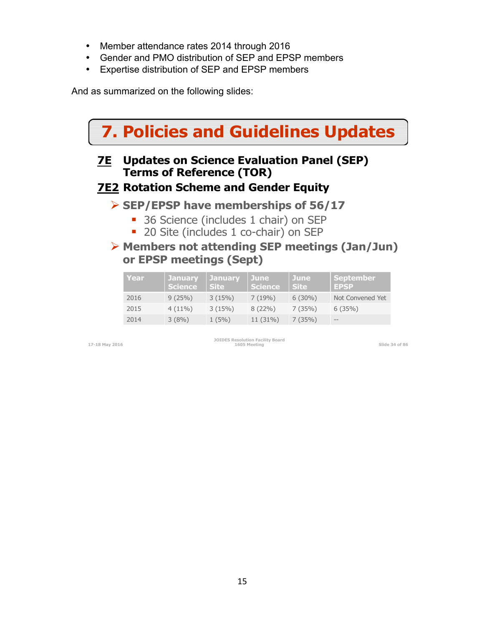- Member attendance rates 2014 through 2016
- Gender and PMO distribution of SEP and EPSP members
- Expertise distribution of SEP and EPSP members

And as summarized on the following slides:

#### **JOIDES Resolution Facility Board 1605 Meeting Slide 34 of 86 7. Policies and Guidelines Updates 7E Updates on Science Evaluation Panel (SEP) Terms of Reference (TOR) 7E2 Rotation Scheme and Gender Equity** ! **SEP/EPSP have memberships of 56/17**  • 36 Science (includes 1 chair) on SEP **20 Site (includes 1 co-chair) on SEP** ! **Members not attending SEP meetings (Jan/Jun) or EPSP meetings (Sept) Year January Science January Site June Science June Site September EPSP**  2016 9 (25%) 3 (15%) 7 (19%) 6 (30%) Not Convened Yet 2015 4 (11%) 3 (15%) 8 (22%) 7 (35%) 6 (35%) 2014 3 (8%)  $1 (5\%)$  11 (31%) 7 (35%)

**17-18 May 2016**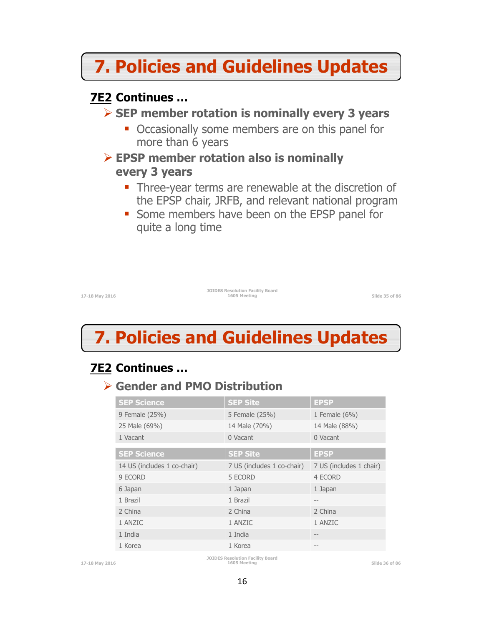# **7. Policies and Guidelines Updates**

# **7E2 Continues …**

# ! **SEP member rotation is nominally every 3 years**

- Occasionally some members are on this panel for more than 6 years
- ! **EPSP member rotation also is nominally every 3 years** 
	- Three-year terms are renewable at the discretion of the EPSP chair, JRFB, and relevant national program
	- **Some members have been on the EPSP panel for** quite a long time

**17-18 May 2016** 

**JOIDES Resolution Facility Board 1605 Meeting Slide 35 of 86** 

# **7. Policies and Guidelines Updates**

# **7E2 Continues …**

# ! **Gender and PMO Distribution**

| <b>SEP Science</b>          | <b>SEP Site</b>            | <b>EPSP</b>             |
|-----------------------------|----------------------------|-------------------------|
| 9 Female (25%)              | 5 Female (25%)             | 1 Female $(6%)$         |
| 25 Male (69%)               | 14 Male (70%)              | 14 Male (88%)           |
| 1 Vacant                    | 0 Vacant                   | 0 Vacant                |
| <b>SEP Science</b>          | <b>SEP Site</b>            | <b>EPSP</b>             |
| 14 US (includes 1 co-chair) | 7 US (includes 1 co-chair) | 7 US (includes 1 chair) |
| 9 ECORD                     | 5 ECORD                    | 4 ECORD                 |
| 6 Japan                     | 1 Japan                    | 1 Japan                 |
| 1 Brazil                    | 1 Brazil                   | $- -$                   |
| 2 China                     | 2 China                    | 2 China                 |
| 1 ANZIC                     | 1 ANZIC                    | 1 ANZIC                 |
| 1 India                     | 1 India                    |                         |
| 1 Korea                     | 1 Korea                    |                         |

**JOIDES Resolution Facility Board**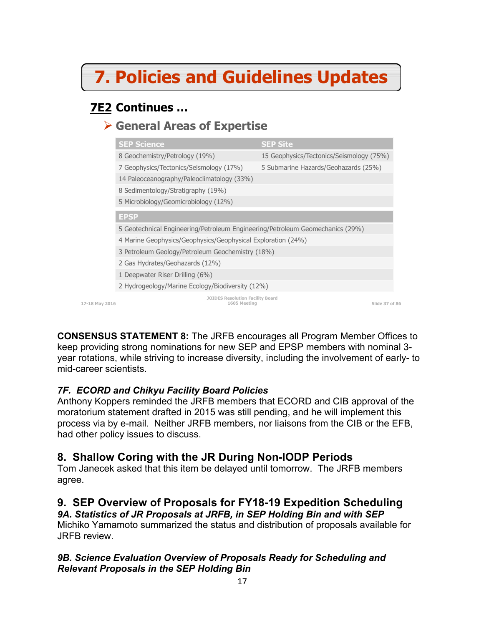# **7. Policies and Guidelines Updates**

# **7E2 Continues …**

# ! **General Areas of Expertise**

|                | <b>SEP Science</b>                                                            | <b>SEP Site</b>                          |                |
|----------------|-------------------------------------------------------------------------------|------------------------------------------|----------------|
|                | 8 Geochemistry/Petrology (19%)                                                | 15 Geophysics/Tectonics/Seismology (75%) |                |
|                | 7 Geophysics/Tectonics/Seismology (17%)                                       | 5 Submarine Hazards/Geohazards (25%)     |                |
|                | 14 Paleoceanography/Paleoclimatology (33%)                                    |                                          |                |
|                | 8 Sedimentology/Stratigraphy (19%)                                            |                                          |                |
|                | 5 Microbiology/Geomicrobiology (12%)                                          |                                          |                |
|                | <b>EPSP</b>                                                                   |                                          |                |
|                | 5 Geotechnical Engineering/Petroleum Engineering/Petroleum Geomechanics (29%) |                                          |                |
|                | 4 Marine Geophysics/Geophysics/Geophysical Exploration (24%)                  |                                          |                |
|                | 3 Petroleum Geology/Petroleum Geochemistry (18%)                              |                                          |                |
|                | 2 Gas Hydrates/Geohazards (12%)                                               |                                          |                |
|                | 1 Deepwater Riser Drilling (6%)                                               |                                          |                |
|                | 2 Hydrogeology/Marine Ecology/Biodiversity (12%)                              |                                          |                |
| 17-18 May 2016 | <b>JOIDES Resolution Facility Board</b><br>1605 Meeting                       |                                          | Slide 37 of 86 |

**CONSENSUS STATEMENT 8:** The JRFB encourages all Program Member Offices to keep providing strong nominations for new SEP and EPSP members with nominal 3 year rotations, while striving to increase diversity, including the involvement of early- to mid-career scientists.

## *7F. ECORD and Chikyu Facility Board Policies*

Anthony Koppers reminded the JRFB members that ECORD and CIB approval of the moratorium statement drafted in 2015 was still pending, and he will implement this process via by e-mail. Neither JRFB members, nor liaisons from the CIB or the EFB, had other policy issues to discuss.

# **8. Shallow Coring with the JR During Non-IODP Periods**

Tom Janecek asked that this item be delayed until tomorrow. The JRFB members agree.

# **9. SEP Overview of Proposals for FY18-19 Expedition Scheduling**

*9A. Statistics of JR Proposals at JRFB, in SEP Holding Bin and with SEP* Michiko Yamamoto summarized the status and distribution of proposals available for JRFB review.

#### *9B. Science Evaluation Overview of Proposals Ready for Scheduling and Relevant Proposals in the SEP Holding Bin*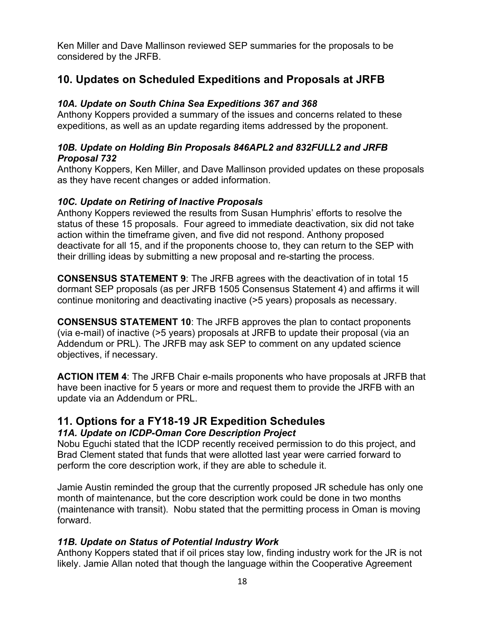Ken Miller and Dave Mallinson reviewed SEP summaries for the proposals to be considered by the JRFB.

# **10. Updates on Scheduled Expeditions and Proposals at JRFB**

#### *10A. Update on South China Sea Expeditions 367 and 368*

Anthony Koppers provided a summary of the issues and concerns related to these expeditions, as well as an update regarding items addressed by the proponent.

#### *10B. Update on Holding Bin Proposals 846APL2 and 832FULL2 and JRFB Proposal 732*

Anthony Koppers, Ken Miller, and Dave Mallinson provided updates on these proposals as they have recent changes or added information.

#### *10C. Update on Retiring of Inactive Proposals*

Anthony Koppers reviewed the results from Susan Humphris' efforts to resolve the status of these 15 proposals. Four agreed to immediate deactivation, six did not take action within the timeframe given, and five did not respond. Anthony proposed deactivate for all 15, and if the proponents choose to, they can return to the SEP with their drilling ideas by submitting a new proposal and re-starting the process.

**CONSENSUS STATEMENT 9**: The JRFB agrees with the deactivation of in total 15 dormant SEP proposals (as per JRFB 1505 Consensus Statement 4) and affirms it will continue monitoring and deactivating inactive (>5 years) proposals as necessary.

**CONSENSUS STATEMENT 10**: The JRFB approves the plan to contact proponents (via e-mail) of inactive (>5 years) proposals at JRFB to update their proposal (via an Addendum or PRL). The JRFB may ask SEP to comment on any updated science objectives, if necessary.

**ACTION ITEM 4**: The JRFB Chair e-mails proponents who have proposals at JRFB that have been inactive for 5 years or more and request them to provide the JRFB with an update via an Addendum or PRL.

## **11. Options for a FY18-19 JR Expedition Schedules**

#### *11A. Update on ICDP-Oman Core Description Project*

Nobu Eguchi stated that the ICDP recently received permission to do this project, and Brad Clement stated that funds that were allotted last year were carried forward to perform the core description work, if they are able to schedule it.

Jamie Austin reminded the group that the currently proposed JR schedule has only one month of maintenance, but the core description work could be done in two months (maintenance with transit). Nobu stated that the permitting process in Oman is moving forward.

#### *11B. Update on Status of Potential Industry Work*

Anthony Koppers stated that if oil prices stay low, finding industry work for the JR is not likely. Jamie Allan noted that though the language within the Cooperative Agreement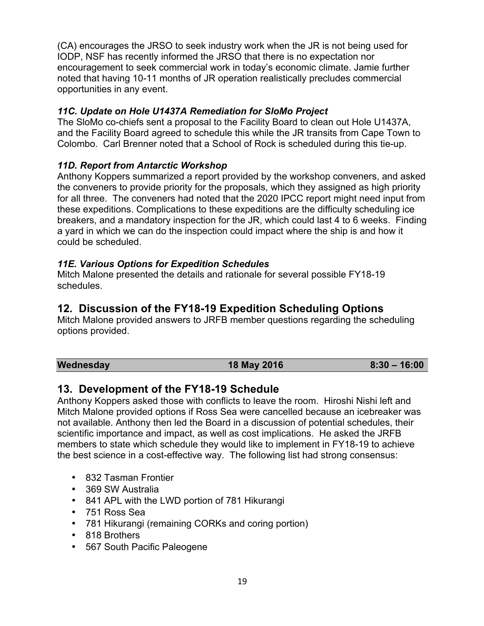(CA) encourages the JRSO to seek industry work when the JR is not being used for IODP, NSF has recently informed the JRSO that there is no expectation nor encouragement to seek commercial work in today's economic climate. Jamie further noted that having 10-11 months of JR operation realistically precludes commercial opportunities in any event.

#### *11C. Update on Hole U1437A Remediation for SloMo Project*

The SloMo co-chiefs sent a proposal to the Facility Board to clean out Hole U1437A, and the Facility Board agreed to schedule this while the JR transits from Cape Town to Colombo. Carl Brenner noted that a School of Rock is scheduled during this tie-up.

#### *11D. Report from Antarctic Workshop*

Anthony Koppers summarized a report provided by the workshop conveners, and asked the conveners to provide priority for the proposals, which they assigned as high priority for all three. The conveners had noted that the 2020 IPCC report might need input from these expeditions. Complications to these expeditions are the difficulty scheduling ice breakers, and a mandatory inspection for the JR, which could last 4 to 6 weeks. Finding a yard in which we can do the inspection could impact where the ship is and how it could be scheduled.

#### *11E. Various Options for Expedition Schedules*

Mitch Malone presented the details and rationale for several possible FY18-19 schedules.

# **12. Discussion of the FY18-19 Expedition Scheduling Options**

Mitch Malone provided answers to JRFB member questions regarding the scheduling options provided.

**Wednesday 18 May 2016 8:30 – 16:00**

## **13. Development of the FY18-19 Schedule**

Anthony Koppers asked those with conflicts to leave the room. Hiroshi Nishi left and Mitch Malone provided options if Ross Sea were cancelled because an icebreaker was not available. Anthony then led the Board in a discussion of potential schedules, their scientific importance and impact, as well as cost implications. He asked the JRFB members to state which schedule they would like to implement in FY18-19 to achieve the best science in a cost-effective way. The following list had strong consensus:

- 832 Tasman Frontier
- 369 SW Australia
- 841 APL with the LWD portion of 781 Hikurangi
- 751 Ross Sea
- 781 Hikurangi (remaining CORKs and coring portion)
- 818 Brothers
- 567 South Pacific Paleogene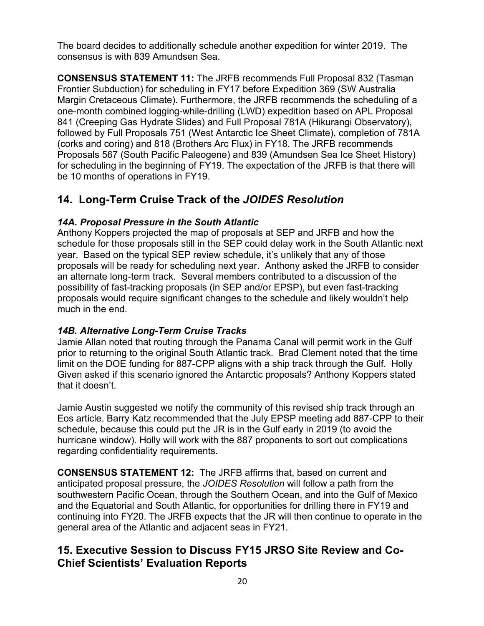The board decides to additionally schedule another expedition for winter 2019. The consensus is with 839 Amundsen Sea.

**CONSENSUS STATEMENT 11:** The JRFB recommends Full Proposal 832 (Tasman Frontier Subduction) for scheduling in FY17 before Expedition 369 (SW Australia Margin Cretaceous Climate). Furthermore, the JRFB recommends the scheduling of a one-month combined logging-while-drilling (LWD) expedition based on APL Proposal 841 (Creeping Gas Hydrate Slides) and Full Proposal 781A (Hikurangi Observatory), followed by Full Proposals 751 (West Antarctic Ice Sheet Climate), completion of 781A (corks and coring) and 818 (Brothers Arc Flux) in FY18. The JRFB recommends Proposals 567 (South Pacific Paleogene) and 839 (Amundsen Sea Ice Sheet History) for scheduling in the beginning of FY19. The expectation of the JRFB is that there will be 10 months of operations in FY19.

# **14. Long-Term Cruise Track of the** *JOIDES Resolution*

#### *14A. Proposal Pressure in the South Atlantic*

Anthony Koppers projected the map of proposals at SEP and JRFB and how the schedule for those proposals still in the SEP could delay work in the South Atlantic next year. Based on the typical SEP review schedule, it's unlikely that any of those proposals will be ready for scheduling next year. Anthony asked the JRFB to consider an alternate long-term track. Several members contributed to a discussion of the possibility of fast-tracking proposals (in SEP and/or EPSP), but even fast-tracking proposals would require significant changes to the schedule and likely wouldn't help much in the end.

## *14B. Alternative Long-Term Cruise Tracks*

Jamie Allan noted that routing through the Panama Canal will permit work in the Gulf prior to returning to the original South Atlantic track. Brad Clement noted that the time limit on the DOE funding for 887-CPP aligns with a ship track through the Gulf. Holly Given asked if this scenario ignored the Antarctic proposals? Anthony Koppers stated that it doesn't.

Jamie Austin suggested we notify the community of this revised ship track through an Eos article. Barry Katz recommended that the July EPSP meeting add 887-CPP to their schedule, because this could put the JR is in the Gulf early in 2019 (to avoid the hurricane window). Holly will work with the 887 proponents to sort out complications regarding confidentiality requirements.

**CONSENSUS STATEMENT 12:** The JRFB affirms that, based on current and anticipated proposal pressure, the *JOIDES Resolution* will follow a path from the southwestern Pacific Ocean, through the Southern Ocean, and into the Gulf of Mexico and the Equatorial and South Atlantic, for opportunities for drilling there in FY19 and continuing into FY20. The JRFB expects that the JR will then continue to operate in the general area of the Atlantic and adjacent seas in FY21.

# **15. Executive Session to Discuss FY15 JRSO Site Review and Co-Chief Scientists' Evaluation Reports**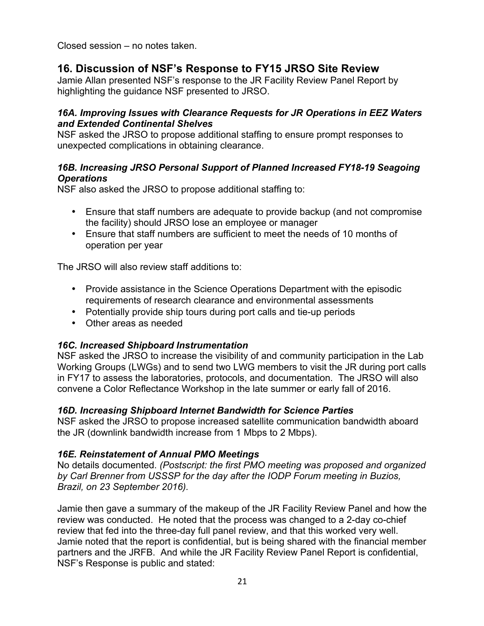Closed session – no notes taken.

# **16. Discussion of NSF's Response to FY15 JRSO Site Review**

Jamie Allan presented NSF's response to the JR Facility Review Panel Report by highlighting the guidance NSF presented to JRSO.

#### *16A. Improving Issues with Clearance Requests for JR Operations in EEZ Waters and Extended Continental Shelves*

NSF asked the JRSO to propose additional staffing to ensure prompt responses to unexpected complications in obtaining clearance.

#### *16B. Increasing JRSO Personal Support of Planned Increased FY18-19 Seagoing Operations*

NSF also asked the JRSO to propose additional staffing to:

- Ensure that staff numbers are adequate to provide backup (and not compromise the facility) should JRSO lose an employee or manager
- Ensure that staff numbers are sufficient to meet the needs of 10 months of operation per year

The JRSO will also review staff additions to:

- Provide assistance in the Science Operations Department with the episodic requirements of research clearance and environmental assessments
- Potentially provide ship tours during port calls and tie-up periods
- Other areas as needed

#### *16C. Increased Shipboard Instrumentation*

NSF asked the JRSO to increase the visibility of and community participation in the Lab Working Groups (LWGs) and to send two LWG members to visit the JR during port calls in FY17 to assess the laboratories, protocols, and documentation. The JRSO will also convene a Color Reflectance Workshop in the late summer or early fall of 2016.

#### *16D. Increasing Shipboard Internet Bandwidth for Science Parties*

NSF asked the JRSO to propose increased satellite communication bandwidth aboard the JR (downlink bandwidth increase from 1 Mbps to 2 Mbps).

#### *16E. Reinstatement of Annual PMO Meetings*

No details documented. *(Postscript: the first PMO meeting was proposed and organized by Carl Brenner from USSSP for the day after the IODP Forum meeting in Buzios, Brazil, on 23 September 2016).*

Jamie then gave a summary of the makeup of the JR Facility Review Panel and how the review was conducted. He noted that the process was changed to a 2-day co-chief review that fed into the three-day full panel review, and that this worked very well. Jamie noted that the report is confidential, but is being shared with the financial member partners and the JRFB. And while the JR Facility Review Panel Report is confidential, NSF's Response is public and stated: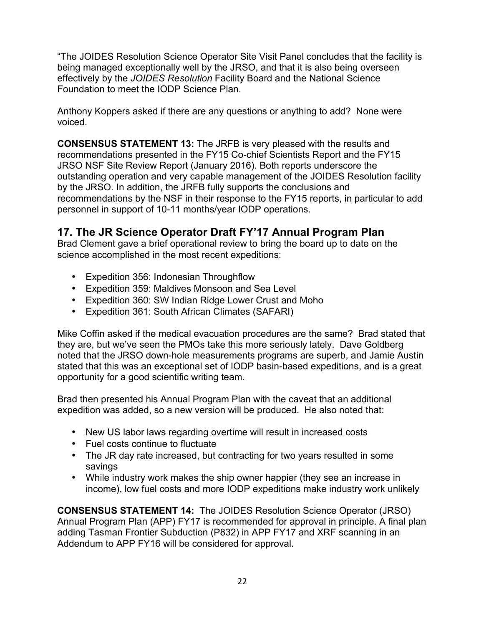"The JOIDES Resolution Science Operator Site Visit Panel concludes that the facility is being managed exceptionally well by the JRSO, and that it is also being overseen effectively by the *JOIDES Resolution* Facility Board and the National Science Foundation to meet the IODP Science Plan.

Anthony Koppers asked if there are any questions or anything to add? None were voiced.

**CONSENSUS STATEMENT 13:** The JRFB is very pleased with the results and recommendations presented in the FY15 Co-chief Scientists Report and the FY15 JRSO NSF Site Review Report (January 2016). Both reports underscore the outstanding operation and very capable management of the JOIDES Resolution facility by the JRSO. In addition, the JRFB fully supports the conclusions and recommendations by the NSF in their response to the FY15 reports, in particular to add personnel in support of 10-11 months/year IODP operations.

# **17. The JR Science Operator Draft FY'17 Annual Program Plan**

Brad Clement gave a brief operational review to bring the board up to date on the science accomplished in the most recent expeditions:

- Expedition 356: Indonesian Throughflow
- Expedition 359: Maldives Monsoon and Sea Level
- Expedition 360: SW Indian Ridge Lower Crust and Moho
- Expedition 361: South African Climates (SAFARI)

Mike Coffin asked if the medical evacuation procedures are the same? Brad stated that they are, but we've seen the PMOs take this more seriously lately. Dave Goldberg noted that the JRSO down-hole measurements programs are superb, and Jamie Austin stated that this was an exceptional set of IODP basin-based expeditions, and is a great opportunity for a good scientific writing team.

Brad then presented his Annual Program Plan with the caveat that an additional expedition was added, so a new version will be produced. He also noted that:

- New US labor laws regarding overtime will result in increased costs
- Fuel costs continue to fluctuate
- The JR day rate increased, but contracting for two years resulted in some savings
- While industry work makes the ship owner happier (they see an increase in income), low fuel costs and more IODP expeditions make industry work unlikely

**CONSENSUS STATEMENT 14:** The JOIDES Resolution Science Operator (JRSO) Annual Program Plan (APP) FY17 is recommended for approval in principle. A final plan adding Tasman Frontier Subduction (P832) in APP FY17 and XRF scanning in an Addendum to APP FY16 will be considered for approval.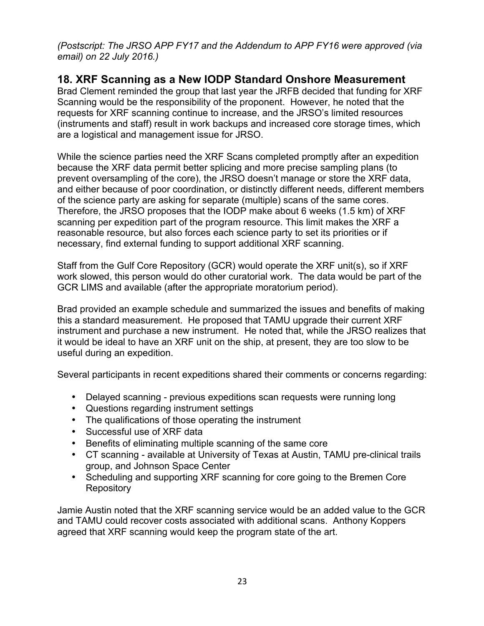*(Postscript: The JRSO APP FY17 and the Addendum to APP FY16 were approved (via email) on 22 July 2016.)*

# **18. XRF Scanning as a New IODP Standard Onshore Measurement**

Brad Clement reminded the group that last year the JRFB decided that funding for XRF Scanning would be the responsibility of the proponent. However, he noted that the requests for XRF scanning continue to increase, and the JRSO's limited resources (instruments and staff) result in work backups and increased core storage times, which are a logistical and management issue for JRSO.

While the science parties need the XRF Scans completed promptly after an expedition because the XRF data permit better splicing and more precise sampling plans (to prevent oversampling of the core), the JRSO doesn't manage or store the XRF data, and either because of poor coordination, or distinctly different needs, different members of the science party are asking for separate (multiple) scans of the same cores. Therefore, the JRSO proposes that the IODP make about 6 weeks (1.5 km) of XRF scanning per expedition part of the program resource. This limit makes the XRF a reasonable resource, but also forces each science party to set its priorities or if necessary, find external funding to support additional XRF scanning.

Staff from the Gulf Core Repository (GCR) would operate the XRF unit(s), so if XRF work slowed, this person would do other curatorial work. The data would be part of the GCR LIMS and available (after the appropriate moratorium period).

Brad provided an example schedule and summarized the issues and benefits of making this a standard measurement. He proposed that TAMU upgrade their current XRF instrument and purchase a new instrument. He noted that, while the JRSO realizes that it would be ideal to have an XRF unit on the ship, at present, they are too slow to be useful during an expedition.

Several participants in recent expeditions shared their comments or concerns regarding:

- Delayed scanning previous expeditions scan requests were running long
- Questions regarding instrument settings
- The qualifications of those operating the instrument
- Successful use of XRF data
- Benefits of eliminating multiple scanning of the same core
- CT scanning available at University of Texas at Austin, TAMU pre-clinical trails group, and Johnson Space Center
- Scheduling and supporting XRF scanning for core going to the Bremen Core **Repository**

Jamie Austin noted that the XRF scanning service would be an added value to the GCR and TAMU could recover costs associated with additional scans. Anthony Koppers agreed that XRF scanning would keep the program state of the art.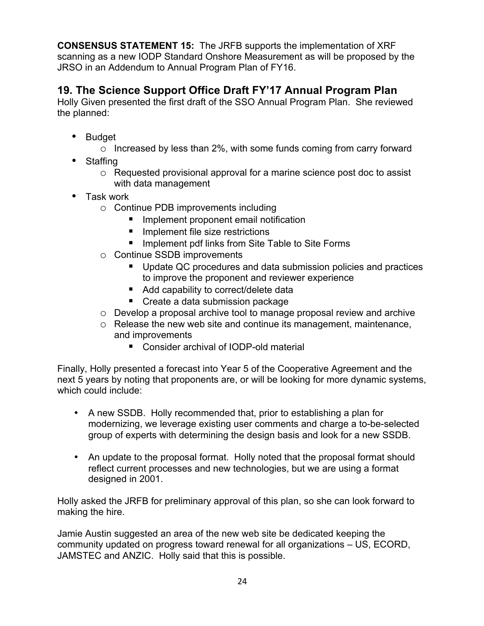**CONSENSUS STATEMENT 15:** The JRFB supports the implementation of XRF scanning as a new IODP Standard Onshore Measurement as will be proposed by the JRSO in an Addendum to Annual Program Plan of FY16.

# **19. The Science Support Office Draft FY'17 Annual Program Plan**

Holly Given presented the first draft of the SSO Annual Program Plan. She reviewed the planned:

- Budget
	- o Increased by less than 2%, with some funds coming from carry forward
- Staffing
	- o Requested provisional approval for a marine science post doc to assist with data management
- Task work
	- o Continue PDB improvements including
		- **If** Implement proponent email notification
		- **If** Implement file size restrictions
		- **If** Implement pdf links from Site Table to Site Forms
	- o Continue SSDB improvements
		- Update QC procedures and data submission policies and practices to improve the proponent and reviewer experience
		- Add capability to correct/delete data
		- Create a data submission package
	- o Develop a proposal archive tool to manage proposal review and archive
	- o Release the new web site and continue its management, maintenance, and improvements
		- Consider archival of IODP-old material

Finally, Holly presented a forecast into Year 5 of the Cooperative Agreement and the next 5 years by noting that proponents are, or will be looking for more dynamic systems, which could include:

- A new SSDB. Holly recommended that, prior to establishing a plan for modernizing, we leverage existing user comments and charge a to-be-selected group of experts with determining the design basis and look for a new SSDB.
- An update to the proposal format. Holly noted that the proposal format should reflect current processes and new technologies, but we are using a format designed in 2001.

Holly asked the JRFB for preliminary approval of this plan, so she can look forward to making the hire.

Jamie Austin suggested an area of the new web site be dedicated keeping the community updated on progress toward renewal for all organizations – US, ECORD, JAMSTEC and ANZIC. Holly said that this is possible.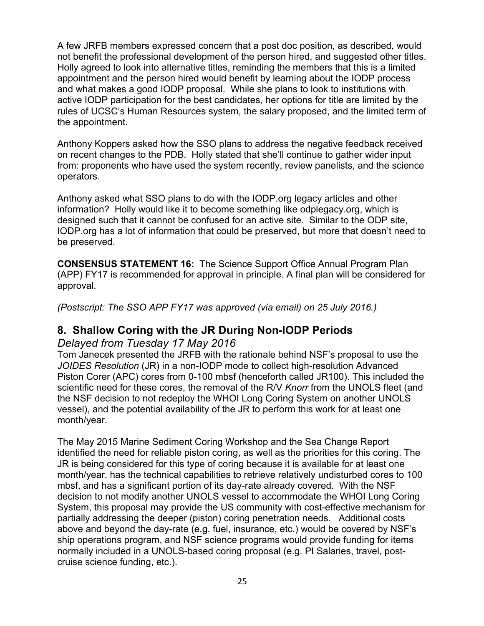A few JRFB members expressed concern that a post doc position, as described, would not benefit the professional development of the person hired, and suggested other titles. Holly agreed to look into alternative titles, reminding the members that this is a limited appointment and the person hired would benefit by learning about the IODP process and what makes a good IODP proposal. While she plans to look to institutions with active IODP participation for the best candidates, her options for title are limited by the rules of UCSC's Human Resources system, the salary proposed, and the limited term of the appointment.

Anthony Koppers asked how the SSO plans to address the negative feedback received on recent changes to the PDB. Holly stated that she'll continue to gather wider input from: proponents who have used the system recently, review panelists, and the science operators.

Anthony asked what SSO plans to do with the IODP.org legacy articles and other information? Holly would like it to become something like odplegacy.org, which is designed such that it cannot be confused for an active site. Similar to the ODP site, IODP.org has a lot of information that could be preserved, but more that doesn't need to be preserved.

**CONSENSUS STATEMENT 16:** The Science Support Office Annual Program Plan (APP) FY17 is recommended for approval in principle. A final plan will be considered for approval.

*(Postscript: The SSO APP FY17 was approved (via email) on 25 July 2016.)*

# **8. Shallow Coring with the JR During Non-IODP Periods**

#### *Delayed from Tuesday 17 May 2016*

Tom Janecek presented the JRFB with the rationale behind NSF's proposal to use the *JOIDES Resolution* (JR) in a non-IODP mode to collect high-resolution Advanced Piston Corer (APC) cores from 0-100 mbsf (henceforth called JR100). This included the scientific need for these cores, the removal of the R/V *Knorr* from the UNOLS fleet (and the NSF decision to not redeploy the WHOI Long Coring System on another UNOLS vessel), and the potential availability of the JR to perform this work for at least one month/year.

The May 2015 Marine Sediment Coring Workshop and the Sea Change Report identified the need for reliable piston coring, as well as the priorities for this coring. The JR is being considered for this type of coring because it is available for at least one month/year, has the technical capabilities to retrieve relatively undisturbed cores to 100 mbsf, and has a significant portion of its day-rate already covered. With the NSF decision to not modify another UNOLS vessel to accommodate the WHOI Long Coring System, this proposal may provide the US community with cost-effective mechanism for partially addressing the deeper (piston) coring penetration needs. Additional costs above and beyond the day-rate (e.g. fuel, insurance, etc.) would be covered by NSF's ship operations program, and NSF science programs would provide funding for items normally included in a UNOLS-based coring proposal (e.g. PI Salaries, travel, postcruise science funding, etc.).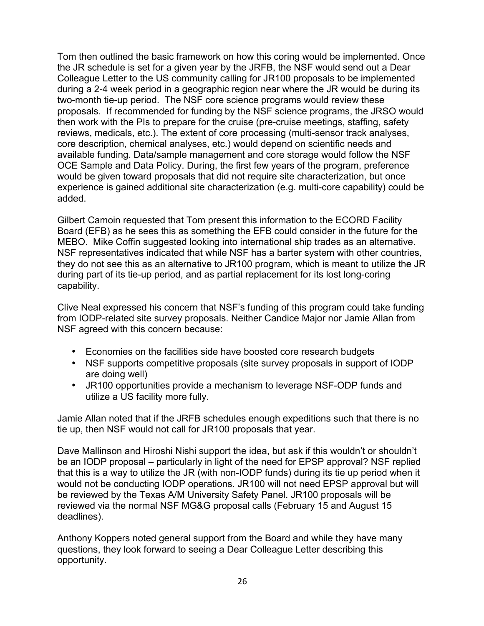Tom then outlined the basic framework on how this coring would be implemented. Once the JR schedule is set for a given year by the JRFB, the NSF would send out a Dear Colleague Letter to the US community calling for JR100 proposals to be implemented during a 2-4 week period in a geographic region near where the JR would be during its two-month tie-up period. The NSF core science programs would review these proposals. If recommended for funding by the NSF science programs, the JRSO would then work with the PIs to prepare for the cruise (pre-cruise meetings, staffing, safety reviews, medicals, etc.). The extent of core processing (multi-sensor track analyses, core description, chemical analyses, etc.) would depend on scientific needs and available funding. Data/sample management and core storage would follow the NSF OCE Sample and Data Policy. During, the first few years of the program, preference would be given toward proposals that did not require site characterization, but once experience is gained additional site characterization (e.g. multi-core capability) could be added.

Gilbert Camoin requested that Tom present this information to the ECORD Facility Board (EFB) as he sees this as something the EFB could consider in the future for the MEBO. Mike Coffin suggested looking into international ship trades as an alternative. NSF representatives indicated that while NSF has a barter system with other countries, they do not see this as an alternative to JR100 program, which is meant to utilize the JR during part of its tie-up period, and as partial replacement for its lost long-coring capability.

Clive Neal expressed his concern that NSF's funding of this program could take funding from IODP-related site survey proposals. Neither Candice Major nor Jamie Allan from NSF agreed with this concern because:

- Economies on the facilities side have boosted core research budgets
- NSF supports competitive proposals (site survey proposals in support of IODP are doing well)
- JR100 opportunities provide a mechanism to leverage NSF-ODP funds and utilize a US facility more fully.

Jamie Allan noted that if the JRFB schedules enough expeditions such that there is no tie up, then NSF would not call for JR100 proposals that year.

Dave Mallinson and Hiroshi Nishi support the idea, but ask if this wouldn't or shouldn't be an IODP proposal – particularly in light of the need for EPSP approval? NSF replied that this is a way to utilize the JR (with non-IODP funds) during its tie up period when it would not be conducting IODP operations. JR100 will not need EPSP approval but will be reviewed by the Texas A/M University Safety Panel. JR100 proposals will be reviewed via the normal NSF MG&G proposal calls (February 15 and August 15 deadlines).

Anthony Koppers noted general support from the Board and while they have many questions, they look forward to seeing a Dear Colleague Letter describing this opportunity.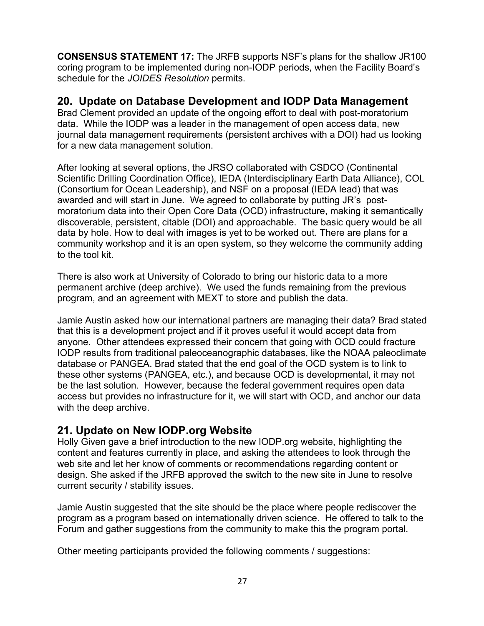**CONSENSUS STATEMENT 17:** The JRFB supports NSF's plans for the shallow JR100 coring program to be implemented during non-IODP periods, when the Facility Board's schedule for the *JOIDES Resolution* permits.

# **20. Update on Database Development and IODP Data Management**

Brad Clement provided an update of the ongoing effort to deal with post-moratorium data. While the IODP was a leader in the management of open access data, new journal data management requirements (persistent archives with a DOI) had us looking for a new data management solution.

After looking at several options, the JRSO collaborated with CSDCO (Continental Scientific Drilling Coordination Office), IEDA (Interdisciplinary Earth Data Alliance), COL (Consortium for Ocean Leadership), and NSF on a proposal (IEDA lead) that was awarded and will start in June. We agreed to collaborate by putting JR's postmoratorium data into their Open Core Data (OCD) infrastructure, making it semantically discoverable, persistent, citable (DOI) and approachable. The basic query would be all data by hole. How to deal with images is yet to be worked out. There are plans for a community workshop and it is an open system, so they welcome the community adding to the tool kit.

There is also work at University of Colorado to bring our historic data to a more permanent archive (deep archive). We used the funds remaining from the previous program, and an agreement with MEXT to store and publish the data.

Jamie Austin asked how our international partners are managing their data? Brad stated that this is a development project and if it proves useful it would accept data from anyone. Other attendees expressed their concern that going with OCD could fracture IODP results from traditional paleoceanographic databases, like the NOAA paleoclimate database or PANGEA. Brad stated that the end goal of the OCD system is to link to these other systems (PANGEA, etc.), and because OCD is developmental, it may not be the last solution. However, because the federal government requires open data access but provides no infrastructure for it, we will start with OCD, and anchor our data with the deep archive.

# **21. Update on New IODP.org Website**

Holly Given gave a brief introduction to the new IODP.org website, highlighting the content and features currently in place, and asking the attendees to look through the web site and let her know of comments or recommendations regarding content or design. She asked if the JRFB approved the switch to the new site in June to resolve current security / stability issues.

Jamie Austin suggested that the site should be the place where people rediscover the program as a program based on internationally driven science. He offered to talk to the Forum and gather suggestions from the community to make this the program portal.

Other meeting participants provided the following comments / suggestions: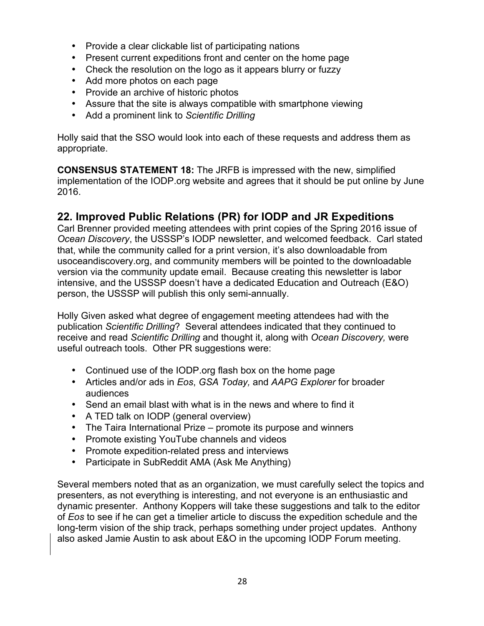- Provide a clear clickable list of participating nations
- Present current expeditions front and center on the home page
- Check the resolution on the logo as it appears blurry or fuzzy
- Add more photos on each page
- Provide an archive of historic photos
- Assure that the site is always compatible with smartphone viewing
- Add a prominent link to *Scientific Drilling*

Holly said that the SSO would look into each of these requests and address them as appropriate.

**CONSENSUS STATEMENT 18:** The JRFB is impressed with the new, simplified implementation of the IODP.org website and agrees that it should be put online by June 2016.

# **22. Improved Public Relations (PR) for IODP and JR Expeditions**

Carl Brenner provided meeting attendees with print copies of the Spring 2016 issue of *Ocean Discovery*, the USSSP's IODP newsletter, and welcomed feedback. Carl stated that, while the community called for a print version, it's also downloadable from usoceandiscovery.org, and community members will be pointed to the downloadable version via the community update email. Because creating this newsletter is labor intensive, and the USSSP doesn't have a dedicated Education and Outreach (E&O) person, the USSSP will publish this only semi-annually.

Holly Given asked what degree of engagement meeting attendees had with the publication *Scientific Drilling*? Several attendees indicated that they continued to receive and read *Scientific Drilling* and thought it, along with *Ocean Discovery,* were useful outreach tools. Other PR suggestions were:

- Continued use of the IODP.org flash box on the home page
- Articles and/or ads in *Eos*, *GSA Today,* and *AAPG Explorer* for broader audiences
- Send an email blast with what is in the news and where to find it
- A TED talk on IODP (general overview)
- The Taira International Prize promote its purpose and winners
- Promote existing YouTube channels and videos
- Promote expedition-related press and interviews
- Participate in SubReddit AMA (Ask Me Anything)

Several members noted that as an organization, we must carefully select the topics and presenters, as not everything is interesting, and not everyone is an enthusiastic and dynamic presenter. Anthony Koppers will take these suggestions and talk to the editor of *Eos* to see if he can get a timelier article to discuss the expedition schedule and the long-term vision of the ship track, perhaps something under project updates. Anthony also asked Jamie Austin to ask about E&O in the upcoming IODP Forum meeting.